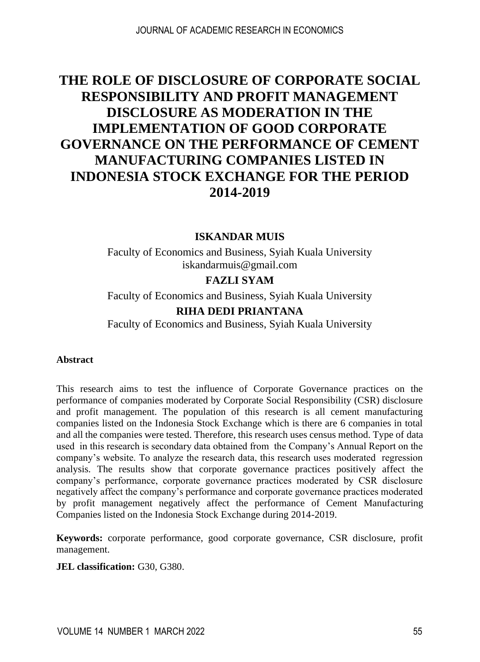# **THE ROLE OF DISCLOSURE OF CORPORATE SOCIAL RESPONSIBILITY AND PROFIT MANAGEMENT DISCLOSURE AS MODERATION IN THE IMPLEMENTATION OF GOOD CORPORATE GOVERNANCE ON THE PERFORMANCE OF CEMENT MANUFACTURING COMPANIES LISTED IN INDONESIA STOCK EXCHANGE FOR THE PERIOD 2014-2019**

#### **ISKANDAR MUIS**

Faculty of Economics and Business, Syiah Kuala University [iskandarmuis@gmail.com](mailto:iskandarmuis@gmail.com)

### **FAZLI SYAM**

Faculty of Economics and Business, Syiah Kuala University

#### **RIHA DEDI PRIANTANA**

Faculty of Economics and Business, Syiah Kuala University

#### **Abstract**

This research aims to test the influence of Corporate Governance practices on the performance of companies moderated by Corporate Social Responsibility (CSR) disclosure and profit management. The population of this research is all cement manufacturing companies listed on the Indonesia Stock Exchange which is there are 6 companies in total and all the companies were tested. Therefore, this research uses census method. Type of data used in this research is secondary data obtained from the Company's Annual Report on the company's website. To analyze the research data, this research uses moderated regression analysis. The results show that corporate governance practices positively affect the company's performance, corporate governance practices moderated by CSR disclosure negatively affect the company's performance and corporate governance practices moderated by profit management negatively affect the performance of Cement Manufacturing Companies listed on the Indonesia Stock Exchange during 2014-2019.

**Keywords:** corporate performance, good corporate governance, CSR disclosure, profit management.

#### **JEL classification:** G30, G380.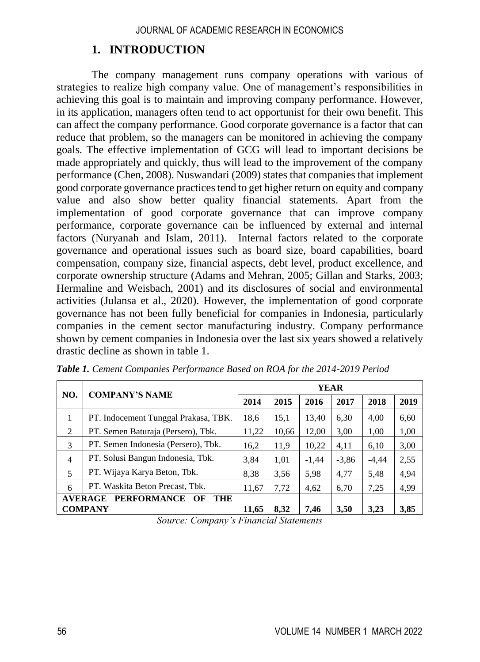### **1. INTRODUCTION**

The company management runs company operations with various of strategies to realize high company value. One of management's responsibilities in achieving this goal is to maintain and improving company performance. However, in its application, managers often tend to act opportunist for their own benefit. This can affect the company performance. Good corporate governance is a factor that can reduce that problem, so the managers can be monitored in achieving the company goals. The effective implementation of GCG will lead to important decisions be made appropriately and quickly, thus will lead to the improvement of the company performance (Chen, 2008). Nuswandari (2009) states that companies that implement good corporate governance practices tend to get higher return on equity and company value and also show better quality financial statements. Apart from the implementation of good corporate governance that can improve company performance, corporate governance can be influenced by external and internal factors (Nuryanah and Islam, 2011). Internal factors related to the corporate governance and operational issues such as board size, board capabilities, board compensation, company size, financial aspects, debt level, product excellence, and corporate ownership structure (Adams and Mehran, 2005; Gillan and Starks, 2003; Hermaline and Weisbach, 2001) and its disclosures of social and environmental activities (Julansa et al., 2020). However, the implementation of good corporate governance has not been fully beneficial for companies in Indonesia, particularly companies in the cement sector manufacturing industry. Company performance shown by cement companies in Indonesia over the last six years showed a relatively drastic decline as shown in table 1.

| NO.                                               | <b>COMPANY'S NAME</b>                | <b>YEAR</b> |       |         |         |         |      |
|---------------------------------------------------|--------------------------------------|-------------|-------|---------|---------|---------|------|
|                                                   |                                      | 2014        | 2015  | 2016    | 2017    | 2018    | 2019 |
|                                                   | PT. Indocement Tunggal Prakasa, TBK. | 18,6        | 15,1  | 13,40   | 6,30    | 4,00    | 6,60 |
| 2                                                 | PT. Semen Baturaja (Persero), Tbk.   | 11,22       | 10,66 | 12,00   | 3,00    | 1,00    | 1,00 |
| 3                                                 | PT. Semen Indonesia (Persero), Tbk.  | 16,2        | 11,9  | 10,22   | 4,11    | 6,10    | 3,00 |
| $\overline{4}$                                    | PT. Solusi Bangun Indonesia, Tbk.    | 3,84        | 1,01  | $-1,44$ | $-3,86$ | $-4,44$ | 2,55 |
| 5                                                 | PT. Wijaya Karya Beton, Tbk.         | 8,38        | 3,56  | 5,98    | 4,77    | 5,48    | 4,94 |
| 6                                                 | PT. Waskita Beton Precast, Tbk.      | 11,67       | 7,72  | 4,62    | 6,70    | 7,25    | 4,99 |
| <b>PERFORMANCE</b><br><b>AVERAGE</b><br>THE<br>OF |                                      |             |       |         |         |         |      |
| <b>COMPANY</b>                                    |                                      |             | 8,32  | 7.46    | 3,50    | 3.23    | 3,85 |

*Table 1. Cement Companies Performance Based on ROA for the 2014-2019 Period*

*Source: Company's Financial Statements*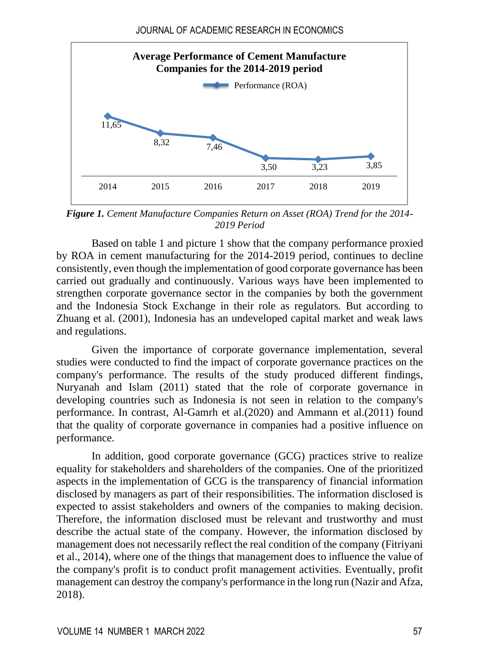

*Figure 1. Cement Manufacture Companies Return on Asset (ROA) Trend for the 2014- 2019 Period*

Based on table 1 and picture 1 show that the company performance proxied by ROA in cement manufacturing for the 2014-2019 period, continues to decline consistently, even though the implementation of good corporate governance has been carried out gradually and continuously. Various ways have been implemented to strengthen corporate governance sector in the companies by both the government and the Indonesia Stock Exchange in their role as regulators. But according to Zhuang et al. (2001), Indonesia has an undeveloped capital market and weak laws and regulations.

Given the importance of corporate governance implementation, several studies were conducted to find the impact of corporate governance practices on the company's performance. The results of the study produced different findings, Nuryanah and Islam (2011) stated that the role of corporate governance in developing countries such as Indonesia is not seen in relation to the company's performance. In contrast, Al-Gamrh et al.(2020) and Ammann et al.(2011) found that the quality of corporate governance in companies had a positive influence on performance.

In addition, good corporate governance (GCG) practices strive to realize equality for stakeholders and shareholders of the companies. One of the prioritized aspects in the implementation of GCG is the transparency of financial information disclosed by managers as part of their responsibilities. The information disclosed is expected to assist stakeholders and owners of the companies to making decision. Therefore, the information disclosed must be relevant and trustworthy and must describe the actual state of the company. However, the information disclosed by management does not necessarily reflect the real condition of the company (Fitriyani et al., 2014), where one of the things that management does to influence the value of the company's profit is to conduct profit management activities. Eventually, profit management can destroy the company's performance in the long run (Nazir and Afza, 2018).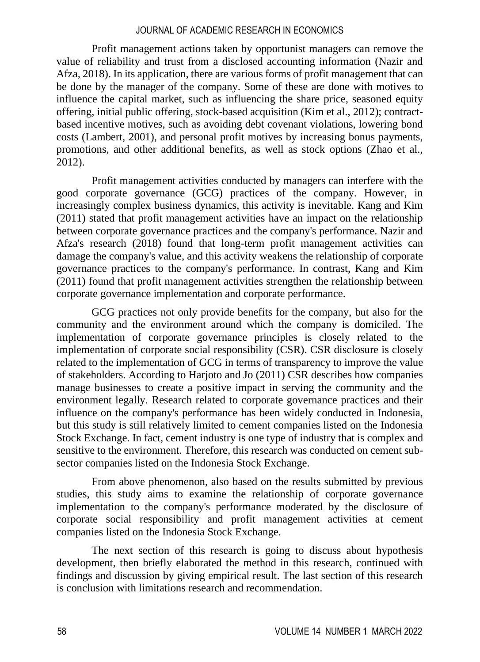Profit management actions taken by opportunist managers can remove the value of reliability and trust from a disclosed accounting information (Nazir and Afza, 2018). In its application, there are various forms of profit management that can be done by the manager of the company. Some of these are done with motives to influence the capital market, such as influencing the share price, seasoned equity offering, initial public offering, stock-based acquisition (Kim et al., 2012); contractbased incentive motives, such as avoiding debt covenant violations, lowering bond costs (Lambert, 2001), and personal profit motives by increasing bonus payments, promotions, and other additional benefits, as well as stock options (Zhao et al., 2012).

Profit management activities conducted by managers can interfere with the good corporate governance (GCG) practices of the company. However, in increasingly complex business dynamics, this activity is inevitable. Kang and Kim (2011) stated that profit management activities have an impact on the relationship between corporate governance practices and the company's performance. Nazir and Afza's research (2018) found that long-term profit management activities can damage the company's value, and this activity weakens the relationship of corporate governance practices to the company's performance. In contrast, Kang and Kim (2011) found that profit management activities strengthen the relationship between corporate governance implementation and corporate performance.

GCG practices not only provide benefits for the company, but also for the community and the environment around which the company is domiciled. The implementation of corporate governance principles is closely related to the implementation of corporate social responsibility (CSR). CSR disclosure is closely related to the implementation of GCG in terms of transparency to improve the value of stakeholders. According to Harjoto and Jo (2011) CSR describes how companies manage businesses to create a positive impact in serving the community and the environment legally. Research related to corporate governance practices and their influence on the company's performance has been widely conducted in Indonesia, but this study is still relatively limited to cement companies listed on the Indonesia Stock Exchange. In fact, cement industry is one type of industry that is complex and sensitive to the environment. Therefore, this research was conducted on cement subsector companies listed on the Indonesia Stock Exchange.

From above phenomenon, also based on the results submitted by previous studies, this study aims to examine the relationship of corporate governance implementation to the company's performance moderated by the disclosure of corporate social responsibility and profit management activities at cement companies listed on the Indonesia Stock Exchange.

The next section of this research is going to discuss about hypothesis development, then briefly elaborated the method in this research, continued with findings and discussion by giving empirical result. The last section of this research is conclusion with limitations research and recommendation.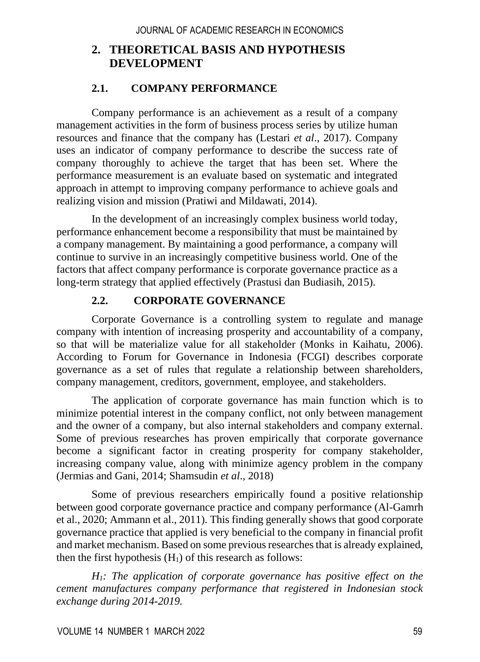# **2. THEORETICAL BASIS AND HYPOTHESIS DEVELOPMENT**

### **2.1. COMPANY PERFORMANCE**

Company performance is an achievement as a result of a company management activities in the form of business process series by utilize human resources and finance that the company has (Lestari *et al*., 2017). Company uses an indicator of company performance to describe the success rate of company thoroughly to achieve the target that has been set. Where the performance measurement is an evaluate based on systematic and integrated approach in attempt to improving company performance to achieve goals and realizing vision and mission (Pratiwi and Mildawati, 2014).

In the development of an increasingly complex business world today, performance enhancement become a responsibility that must be maintained by a company management. By maintaining a good performance, a company will continue to survive in an increasingly competitive business world. One of the factors that affect company performance is corporate governance practice as a long-term strategy that applied effectively (Prastusi dan Budiasih, 2015).

### **2.2. CORPORATE GOVERNANCE**

Corporate Governance is a controlling system to regulate and manage company with intention of increasing prosperity and accountability of a company, so that will be materialize value for all stakeholder (Monks in Kaihatu, 2006). According to Forum for Governance in Indonesia (FCGI) describes corporate governance as a set of rules that regulate a relationship between shareholders, company management, creditors, government, employee, and stakeholders.

The application of corporate governance has main function which is to minimize potential interest in the company conflict, not only between management and the owner of a company, but also internal stakeholders and company external. Some of previous researches has proven empirically that corporate governance become a significant factor in creating prosperity for company stakeholder, increasing company value, along with minimize agency problem in the company (Jermias and Gani, 2014; Shamsudin *et al*., 2018)

Some of previous researchers empirically found a positive relationship between good corporate governance practice and company performance (Al-Gamrh et al., 2020; Ammann et al., 2011). This finding generally shows that good corporate governance practice that applied is very beneficial to the company in financial profit and market mechanism. Based on some previous researches that is already explained, then the first hypothesis  $(H<sub>1</sub>)$  of this research as follows:

*H1: The application of corporate governance has positive effect on the cement manufactures company performance that registered in Indonesian stock exchange during 2014-2019.*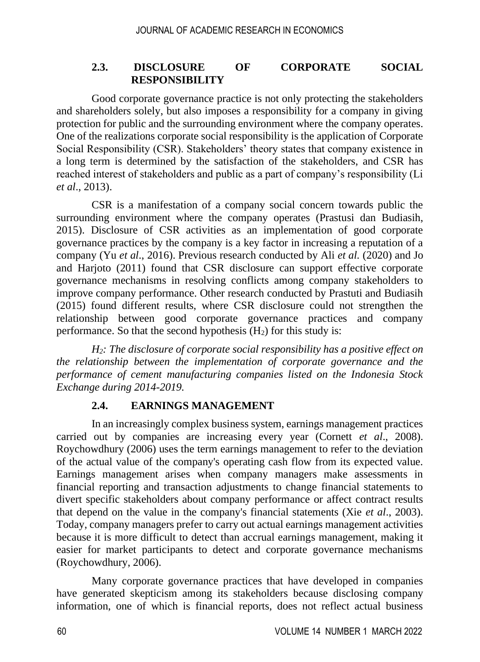### **2.3. DISCLOSURE OF CORPORATE SOCIAL RESPONSIBILITY**

Good corporate governance practice is not only protecting the stakeholders and shareholders solely, but also imposes a responsibility for a company in giving protection for public and the surrounding environment where the company operates. One of the realizations corporate social responsibility is the application of Corporate Social Responsibility (CSR). Stakeholders' theory states that company existence in a long term is determined by the satisfaction of the stakeholders, and CSR has reached interest of stakeholders and public as a part of company's responsibility (Li *et al*., 2013).

CSR is a manifestation of a company social concern towards public the surrounding environment where the company operates (Prastusi dan Budiasih, 2015). Disclosure of CSR activities as an implementation of good corporate governance practices by the company is a key factor in increasing a reputation of a company (Yu *et al*., 2016). Previous research conducted by Ali *et al.* (2020) and Jo and Harjoto (2011) found that CSR disclosure can support effective corporate governance mechanisms in resolving conflicts among company stakeholders to improve company performance. Other research conducted by Prastuti and Budiasih (2015) found different results, where CSR disclosure could not strengthen the relationship between good corporate governance practices and company performance. So that the second hypothesis  $(H<sub>2</sub>)$  for this study is:

*H2: The disclosure of corporate social responsibility has a positive effect on the relationship between the implementation of corporate governance and the performance of cement manufacturing companies listed on the Indonesia Stock Exchange during 2014-2019.*

### **2.4. EARNINGS MANAGEMENT**

In an increasingly complex business system, earnings management practices carried out by companies are increasing every year (Cornett *et al*., 2008). Roychowdhury (2006) uses the term earnings management to refer to the deviation of the actual value of the company's operating cash flow from its expected value. Earnings management arises when company managers make assessments in financial reporting and transaction adjustments to change financial statements to divert specific stakeholders about company performance or affect contract results that depend on the value in the company's financial statements (Xie *et al*., 2003). Today, company managers prefer to carry out actual earnings management activities because it is more difficult to detect than accrual earnings management, making it easier for market participants to detect and corporate governance mechanisms (Roychowdhury, 2006).

Many corporate governance practices that have developed in companies have generated skepticism among its stakeholders because disclosing company information, one of which is financial reports, does not reflect actual business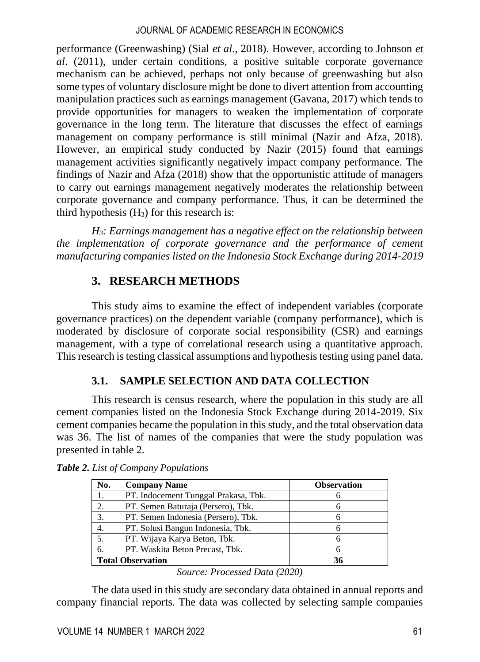performance (Greenwashing) (Sial *et al*., 2018). However, according to Johnson *et al*. (2011), under certain conditions, a positive suitable corporate governance mechanism can be achieved, perhaps not only because of greenwashing but also some types of voluntary disclosure might be done to divert attention from accounting manipulation practices such as earnings management (Gavana, 2017) which tends to provide opportunities for managers to weaken the implementation of corporate governance in the long term. The literature that discusses the effect of earnings management on company performance is still minimal (Nazir and Afza, 2018). However, an empirical study conducted by Nazir (2015) found that earnings management activities significantly negatively impact company performance. The findings of Nazir and Afza (2018) show that the opportunistic attitude of managers to carry out earnings management negatively moderates the relationship between corporate governance and company performance. Thus, it can be determined the third hypothesis  $(H_3)$  for this research is:

*H3: Earnings management has a negative effect on the relationship between the implementation of corporate governance and the performance of cement manufacturing companies listed on the Indonesia Stock Exchange during 2014-2019*

# **3. RESEARCH METHODS**

This study aims to examine the effect of independent variables (corporate governance practices) on the dependent variable (company performance), which is moderated by disclosure of corporate social responsibility (CSR) and earnings management, with a type of correlational research using a quantitative approach. This research is testing classical assumptions and hypothesis testing using panel data.

### **3.1. SAMPLE SELECTION AND DATA COLLECTION**

This research is census research, where the population in this study are all cement companies listed on the Indonesia Stock Exchange during 2014-2019. Six cement companies became the population in this study, and the total observation data was 36. The list of names of the companies that were the study population was presented in table 2.

| No.                      | <b>Company Name</b>                  | <b>Observation</b> |  |  |
|--------------------------|--------------------------------------|--------------------|--|--|
| 1.                       | PT. Indocement Tunggal Prakasa, Tbk. |                    |  |  |
| 2.                       | PT. Semen Baturaja (Persero), Tbk.   |                    |  |  |
| 3.                       | PT. Semen Indonesia (Persero), Tbk.  |                    |  |  |
| 4.                       | PT. Solusi Bangun Indonesia, Tbk.    |                    |  |  |
| 5.                       | PT. Wijaya Karya Beton, Tbk.         |                    |  |  |
| 6.                       | PT. Waskita Beton Precast, Tbk.      |                    |  |  |
| <b>Total Observation</b> |                                      | 36                 |  |  |

*Table 2. List of Company Populations*

The data used in this study are secondary data obtained in annual reports and company financial reports. The data was collected by selecting sample companies

*Source: Processed Data (2020)*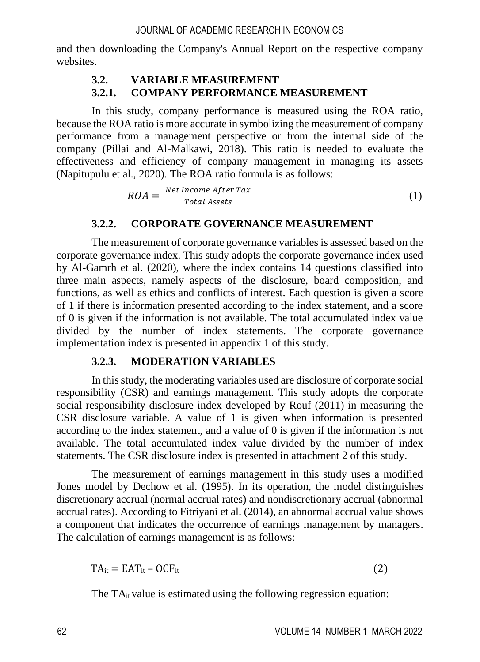and then downloading the Company's Annual Report on the respective company websites.

### **3.2. VARIABLE MEASUREMENT**

### **3.2.1. COMPANY PERFORMANCE MEASUREMENT**

In this study, company performance is measured using the ROA ratio, because the ROA ratio is more accurate in symbolizing the measurement of company performance from a management perspective or from the internal side of the company (Pillai and Al-Malkawi, 2018). This ratio is needed to evaluate the effectiveness and efficiency of company management in managing its assets (Napitupulu et al., 2020). The ROA ratio formula is as follows:

$$
ROA = \frac{Net Income After Tax}{Total Assets}
$$
 (1)

#### **3.2.2. CORPORATE GOVERNANCE MEASUREMENT**

The measurement of corporate governance variables is assessed based on the corporate governance index. This study adopts the corporate governance index used by Al-Gamrh et al. (2020), where the index contains 14 questions classified into three main aspects, namely aspects of the disclosure, board composition, and functions, as well as ethics and conflicts of interest. Each question is given a score of 1 if there is information presented according to the index statement, and a score of 0 is given if the information is not available. The total accumulated index value divided by the number of index statements. The corporate governance implementation index is presented in appendix 1 of this study.

#### **3.2.3. MODERATION VARIABLES**

In this study, the moderating variables used are disclosure of corporate social responsibility (CSR) and earnings management. This study adopts the corporate social responsibility disclosure index developed by Rouf (2011) in measuring the CSR disclosure variable. A value of 1 is given when information is presented according to the index statement, and a value of 0 is given if the information is not available. The total accumulated index value divided by the number of index statements. The CSR disclosure index is presented in attachment 2 of this study.

The measurement of earnings management in this study uses a modified Jones model by Dechow et al. (1995). In its operation, the model distinguishes discretionary accrual (normal accrual rates) and nondiscretionary accrual (abnormal accrual rates). According to Fitriyani et al. (2014), an abnormal accrual value shows a component that indicates the occurrence of earnings management by managers. The calculation of earnings management is as follows:

$$
TA_{it} = EAT_{it} - OCF_{it}
$$
 (2)

The  $TA_{it}$  value is estimated using the following regression equation: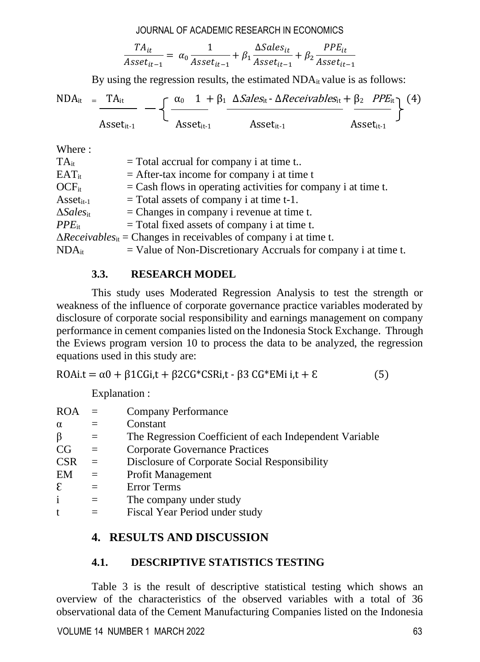$$
\frac{TA_{it}}{Asset_{it-1}} = \alpha_0 \frac{1}{Asset_{it-1}} + \beta_1 \frac{\Delta Sales_{it}}{Asset_{it-1}} + \beta_2 \frac{PPE_{it}}{ Asset_{it-1}}
$$

By using the regression results, the estimated  $NDA_{it}$  value is as follows:

$$
NDA_{it} = \frac{TA_{it}}{A\text{sset}_{it-1}} - \left\{ \frac{\alpha_0 - 1 + \beta_1 \Delta Sales_{it} - \Delta Receivables_{it}}{A\text{sset}_{it-1}} + \frac{\beta_2 \ PPE_{it}}{A\text{sset}_{it-1}} \right\} (4)
$$

Where  $\cdot$ 

| $TA_{it}$                    | $=$ Total accrual for company i at time t                                  |
|------------------------------|----------------------------------------------------------------------------|
| $EAT_{it}$                   | $=$ After-tax income for company i at time t                               |
| $OCF_{it}$                   | $=$ Cash flows in operating activities for company i at time t.            |
| $\text{Asset}_{\text{it-1}}$ | $=$ Total assets of company i at time t-1.                                 |
| $\Delta Sales_{it}$          | $=$ Changes in company i revenue at time t.                                |
| $PPE_{it}$                   | $=$ Total fixed assets of company i at time t.                             |
|                              | $\Delta Receivables_{it}$ = Changes in receivables of company i at time t. |
| $NDA_{it}$                   | $=$ Value of Non-Discretionary Accruals for company i at time t.           |

### **3.3. RESEARCH MODEL**

This study uses Moderated Regression Analysis to test the strength or weakness of the influence of corporate governance practice variables moderated by disclosure of corporate social responsibility and earnings management on company performance in cement companies listed on the Indonesia Stock Exchange. Through the Eviews program version 10 to process the data to be analyzed, the regression equations used in this study are:

ROAi.t =  $\alpha$ 0 +  $\beta$ 1CGi,t +  $\beta$ 2CG\*CSRi,t -  $\beta$ 3 CG\*EMi i,t +  $\epsilon$  (5)

Explanation :

| <b>ROA</b>   | $=$      | Company Performance                                     |
|--------------|----------|---------------------------------------------------------|
| $\alpha$     | $=$      | Constant                                                |
| β            | $=$      | The Regression Coefficient of each Independent Variable |
| CG           | $\equiv$ | <b>Corporate Governance Practices</b>                   |
| <b>CSR</b>   | $=$      | Disclosure of Corporate Social Responsibility           |
| EM           | $=$      | <b>Profit Management</b>                                |
| $\epsilon$   | $=$      | Error Terms                                             |
| $\mathbf{i}$ | $=$      | The company under study                                 |
| t            |          | Fiscal Year Period under study                          |

## **4. RESULTS AND DISCUSSION**

### **4.1. DESCRIPTIVE STATISTICS TESTING**

Table 3 is the result of descriptive statistical testing which shows an overview of the characteristics of the observed variables with a total of 36 observational data of the Cement Manufacturing Companies listed on the Indonesia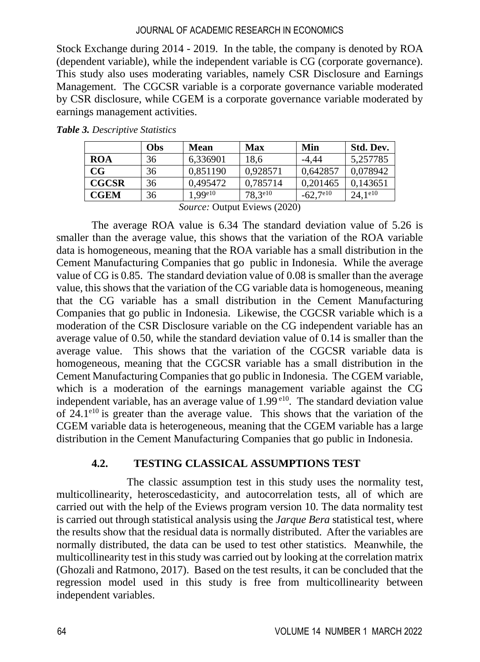Stock Exchange during 2014 - 2019. In the table, the company is denoted by ROA (dependent variable), while the independent variable is CG (corporate governance). This study also uses moderating variables, namely CSR Disclosure and Earnings Management. The CGCSR variable is a corporate governance variable moderated by CSR disclosure, while CGEM is a corporate governance variable moderated by earnings management activities.

|              | Obs | <b>Mean</b> | Max              | Min                 | Std. Dev.          |
|--------------|-----|-------------|------------------|---------------------|--------------------|
| <b>ROA</b>   | 36  | 6,336901    | 18.6             | -4.44               | 5.257785           |
| $_{\rm CG}$  | 36  | 0.851190    | 0.928571         | 0.642857            | 0.078942           |
| <b>CGCSR</b> | 36  | 0.495472    | 0.785714         | 0.201465            | 0.143651           |
| <b>CGEM</b>  | 36  | .99e10      | $78,3^{\rm e10}$ | $-62,7^{\text{el}}$ | $24.1^{\text{el}}$ |

*Table 3. Descriptive Statistics*

*Source:* Output Eviews (2020)

The average ROA value is 6.34 The standard deviation value of 5.26 is smaller than the average value, this shows that the variation of the ROA variable data is homogeneous, meaning that the ROA variable has a small distribution in the Cement Manufacturing Companies that go public in Indonesia. While the average value of CG is 0.85. The standard deviation value of 0.08 is smaller than the average value, this shows that the variation of the CG variable data is homogeneous, meaning that the CG variable has a small distribution in the Cement Manufacturing Companies that go public in Indonesia. Likewise, the CGCSR variable which is a moderation of the CSR Disclosure variable on the CG independent variable has an average value of 0.50, while the standard deviation value of 0.14 is smaller than the average value. This shows that the variation of the CGCSR variable data is homogeneous, meaning that the CGCSR variable has a small distribution in the Cement Manufacturing Companies that go public in Indonesia. The CGEM variable, which is a moderation of the earnings management variable against the CG independent variable, has an average value of  $1.99<sup>el0</sup>$ . The standard deviation value of  $24.1<sup>e10</sup>$  is greater than the average value. This shows that the variation of the CGEM variable data is heterogeneous, meaning that the CGEM variable has a large distribution in the Cement Manufacturing Companies that go public in Indonesia.

### **4.2. TESTING CLASSICAL ASSUMPTIONS TEST**

The classic assumption test in this study uses the normality test, multicollinearity, heteroscedasticity, and autocorrelation tests, all of which are carried out with the help of the Eviews program version 10. The data normality test is carried out through statistical analysis using the *Jarque Bera* statistical test, where the results show that the residual data is normally distributed. After the variables are normally distributed, the data can be used to test other statistics. Meanwhile, the multicollinearity test in this study was carried out by looking at the correlation matrix (Ghozali and Ratmono, 2017). Based on the test results, it can be concluded that the regression model used in this study is free from multicollinearity between independent variables.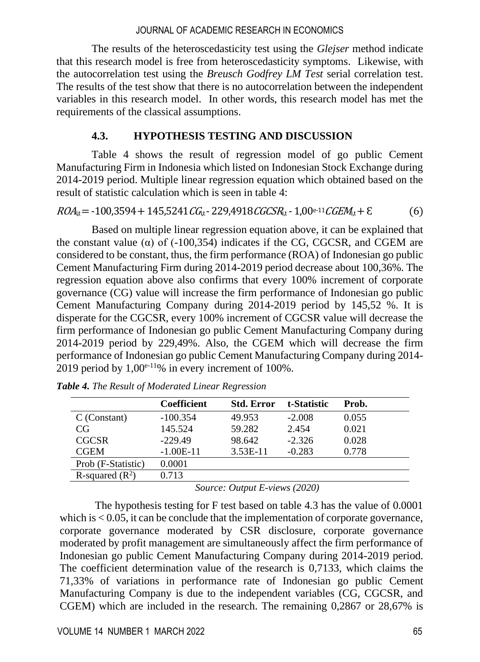The results of the heteroscedasticity test using the *Glejser* method indicate that this research model is free from heteroscedasticity symptoms. Likewise, with the autocorrelation test using the *Breusch Godfrey LM Test* serial correlation test. The results of the test show that there is no autocorrelation between the independent variables in this research model. In other words, this research model has met the requirements of the classical assumptions.

#### **4.3. HYPOTHESIS TESTING AND DISCUSSION**

Table 4 shows the result of regression model of go public Cement Manufacturing Firm in Indonesia which listed on Indonesian Stock Exchange during 2014-2019 period. Multiple linear regression equation which obtained based on the result of statistic calculation which is seen in table 4:

 $ROA_{\rm i} = -100.3594 + 145.5241\,C_{\rm f} - 229.4918\,C_{\rm G}CSR_{\rm i} - 1.00e^{-11}\,CGEM_{\rm i} + \epsilon$  (6)

Based on multiple linear regression equation above, it can be explained that the constant value ( $\alpha$ ) of (-100,354) indicates if the CG, CGCSR, and CGEM are considered to be constant, thus, the firm performance (ROA) of Indonesian go public Cement Manufacturing Firm during 2014-2019 period decrease about 100,36%. The regression equation above also confirms that every 100% increment of corporate governance (CG) value will increase the firm performance of Indonesian go public Cement Manufacturing Company during 2014-2019 period by 145,52 %. It is disperate for the CGCSR, every 100% increment of CGCSR value will decrease the firm performance of Indonesian go public Cement Manufacturing Company during 2014-2019 period by 229,49%. Also, the CGEM which will decrease the firm performance of Indonesian go public Cement Manufacturing Company during 2014- 2019 period by  $1.00^{e-11}\%$  in every increment of 100%.

|                    | <b>Coefficient</b> | <b>Std. Error</b> | t-Statistic | Prob. |
|--------------------|--------------------|-------------------|-------------|-------|
| C (Constant)       | $-100.354$         | 49.953            | $-2.008$    | 0.055 |
| CG                 | 145.524            | 59.282            | 2.454       | 0.021 |
| <b>CGCSR</b>       | $-229.49$          | 98.642            | $-2.326$    | 0.028 |
| <b>CGEM</b>        | $-1.00E-11$        | 3.53E-11          | $-0.283$    | 0.778 |
| Prob (F-Statistic) | 0.0001             |                   |             |       |
| R-squared $(R^2)$  | 0.713              |                   |             |       |

*Table 4. The Result of Moderated Linear Regression*

*Source: Output E-views (2020)*

The hypothesis testing for F test based on table 4.3 has the value of 0.0001 which is  $< 0.05$ , it can be conclude that the implementation of corporate governance, corporate governance moderated by CSR disclosure, corporate governance moderated by profit management are simultaneously affect the firm performance of Indonesian go public Cement Manufacturing Company during 2014-2019 period. The coefficient determination value of the research is 0,7133, which claims the 71,33% of variations in performance rate of Indonesian go public Cement Manufacturing Company is due to the independent variables (CG, CGCSR, and CGEM) which are included in the research. The remaining 0,2867 or 28,67% is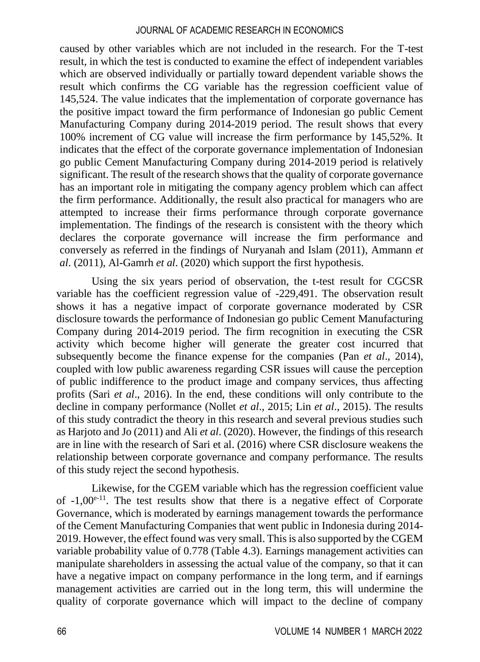caused by other variables which are not included in the research. For the T-test result, in which the test is conducted to examine the effect of independent variables which are observed individually or partially toward dependent variable shows the result which confirms the CG variable has the regression coefficient value of 145,524. The value indicates that the implementation of corporate governance has the positive impact toward the firm performance of Indonesian go public Cement Manufacturing Company during 2014-2019 period. The result shows that every 100% increment of CG value will increase the firm performance by 145,52%. It indicates that the effect of the corporate governance implementation of Indonesian go public Cement Manufacturing Company during 2014-2019 period is relatively significant. The result of the research shows that the quality of corporate governance has an important role in mitigating the company agency problem which can affect the firm performance. Additionally, the result also practical for managers who are attempted to increase their firms performance through corporate governance implementation. The findings of the research is consistent with the theory which declares the corporate governance will increase the firm performance and conversely as referred in the findings of Nuryanah and Islam (2011), Ammann *et al*. (2011), Al-Gamrh *et al*. (2020) which support the first hypothesis.

Using the six years period of observation, the t-test result for CGCSR variable has the coefficient regression value of -229,491. The observation result shows it has a negative impact of corporate governance moderated by CSR disclosure towards the performance of Indonesian go public Cement Manufacturing Company during 2014-2019 period. The firm recognition in executing the CSR activity which become higher will generate the greater cost incurred that subsequently become the finance expense for the companies (Pan *et al*., 2014), coupled with low public awareness regarding CSR issues will cause the perception of public indifference to the product image and company services, thus affecting profits (Sari *et al*., 2016). In the end, these conditions will only contribute to the decline in company performance (Nollet *et al*., 2015; Lin *et al*., 2015). The results of this study contradict the theory in this research and several previous studies such as Harjoto and Jo (2011) and Ali *et al*. (2020). However, the findings of this research are in line with the research of Sari et al. (2016) where CSR disclosure weakens the relationship between corporate governance and company performance. The results of this study reject the second hypothesis.

Likewise, for the CGEM variable which has the regression coefficient value of  $-1.00^{e-11}$ . The test results show that there is a negative effect of Corporate Governance, which is moderated by earnings management towards the performance of the Cement Manufacturing Companies that went public in Indonesia during 2014- 2019. However, the effect found was very small. This is also supported by the CGEM variable probability value of 0.778 (Table 4.3). Earnings management activities can manipulate shareholders in assessing the actual value of the company, so that it can have a negative impact on company performance in the long term, and if earnings management activities are carried out in the long term, this will undermine the quality of corporate governance which will impact to the decline of company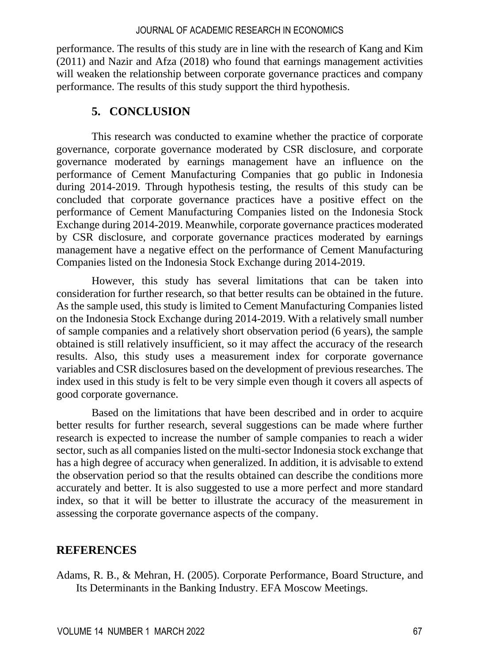performance. The results of this study are in line with the research of Kang and Kim (2011) and Nazir and Afza (2018) who found that earnings management activities will weaken the relationship between corporate governance practices and company performance. The results of this study support the third hypothesis.

### **5. CONCLUSION**

This research was conducted to examine whether the practice of corporate governance, corporate governance moderated by CSR disclosure, and corporate governance moderated by earnings management have an influence on the performance of Cement Manufacturing Companies that go public in Indonesia during 2014-2019. Through hypothesis testing, the results of this study can be concluded that corporate governance practices have a positive effect on the performance of Cement Manufacturing Companies listed on the Indonesia Stock Exchange during 2014-2019. Meanwhile, corporate governance practices moderated by CSR disclosure, and corporate governance practices moderated by earnings management have a negative effect on the performance of Cement Manufacturing Companies listed on the Indonesia Stock Exchange during 2014-2019.

However, this study has several limitations that can be taken into consideration for further research, so that better results can be obtained in the future. As the sample used, this study is limited to Cement Manufacturing Companies listed on the Indonesia Stock Exchange during 2014-2019. With a relatively small number of sample companies and a relatively short observation period (6 years), the sample obtained is still relatively insufficient, so it may affect the accuracy of the research results. Also, this study uses a measurement index for corporate governance variables and CSR disclosures based on the development of previous researches. The index used in this study is felt to be very simple even though it covers all aspects of good corporate governance.

Based on the limitations that have been described and in order to acquire better results for further research, several suggestions can be made where further research is expected to increase the number of sample companies to reach a wider sector, such as all companies listed on the multi-sector Indonesia stock exchange that has a high degree of accuracy when generalized. In addition, it is advisable to extend the observation period so that the results obtained can describe the conditions more accurately and better. It is also suggested to use a more perfect and more standard index, so that it will be better to illustrate the accuracy of the measurement in assessing the corporate governance aspects of the company.

### **REFERENCES**

Adams, R. B., & Mehran, H. (2005). Corporate Performance, Board Structure, and Its Determinants in the Banking Industry. EFA Moscow Meetings.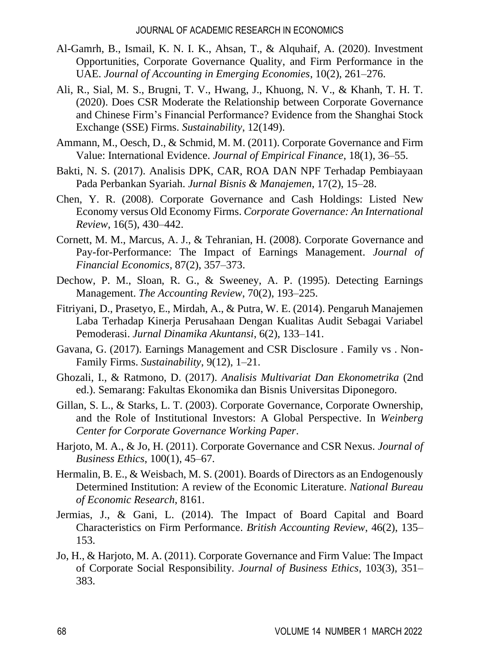- Al-Gamrh, B., Ismail, K. N. I. K., Ahsan, T., & Alquhaif, A. (2020). Investment Opportunities, Corporate Governance Quality, and Firm Performance in the UAE. *Journal of Accounting in Emerging Economies*, 10(2), 261–276.
- Ali, R., Sial, M. S., Brugni, T. V., Hwang, J., Khuong, N. V., & Khanh, T. H. T. (2020). Does CSR Moderate the Relationship between Corporate Governance and Chinese Firm's Financial Performance? Evidence from the Shanghai Stock Exchange (SSE) Firms. *Sustainability*, 12(149).
- Ammann, M., Oesch, D., & Schmid, M. M. (2011). Corporate Governance and Firm Value: International Evidence. *Journal of Empirical Finance*, 18(1), 36–55.
- Bakti, N. S. (2017). Analisis DPK, CAR, ROA DAN NPF Terhadap Pembiayaan Pada Perbankan Syariah. *Jurnal Bisnis & Manajemen*, 17(2), 15–28.
- Chen, Y. R. (2008). Corporate Governance and Cash Holdings: Listed New Economy versus Old Economy Firms. *Corporate Governance: An International Review*, 16(5), 430–442.
- Cornett, M. M., Marcus, A. J., & Tehranian, H. (2008). Corporate Governance and Pay-for-Performance: The Impact of Earnings Management. *Journal of Financial Economics*, 87(2), 357–373.
- Dechow, P. M., Sloan, R. G., & Sweeney, A. P. (1995). Detecting Earnings Management. *The Accounting Review*, 70(2), 193–225.
- Fitriyani, D., Prasetyo, E., Mirdah, A., & Putra, W. E. (2014). Pengaruh Manajemen Laba Terhadap Kinerja Perusahaan Dengan Kualitas Audit Sebagai Variabel Pemoderasi. *Jurnal Dinamika Akuntansi*, 6(2), 133–141.
- Gavana, G. (2017). Earnings Management and CSR Disclosure . Family vs . Non-Family Firms. *Sustainability*, 9(12), 1–21.
- Ghozali, I., & Ratmono, D. (2017). *Analisis Multivariat Dan Ekonometrika* (2nd ed.). Semarang: Fakultas Ekonomika dan Bisnis Universitas Diponegoro.
- Gillan, S. L., & Starks, L. T. (2003). Corporate Governance, Corporate Ownership, and the Role of Institutional Investors: A Global Perspective. In *Weinberg Center for Corporate Governance Working Paper*.
- Harjoto, M. A., & Jo, H. (2011). Corporate Governance and CSR Nexus. *Journal of Business Ethics*, 100(1), 45–67.
- Hermalin, B. E., & Weisbach, M. S. (2001). Boards of Directors as an Endogenously Determined Institution: A review of the Economic Literature. *National Bureau of Economic Research*, 8161.
- Jermias, J., & Gani, L. (2014). The Impact of Board Capital and Board Characteristics on Firm Performance. *British Accounting Review*, 46(2), 135– 153.
- Jo, H., & Harjoto, M. A. (2011). Corporate Governance and Firm Value: The Impact of Corporate Social Responsibility. *Journal of Business Ethics*, 103(3), 351– 383.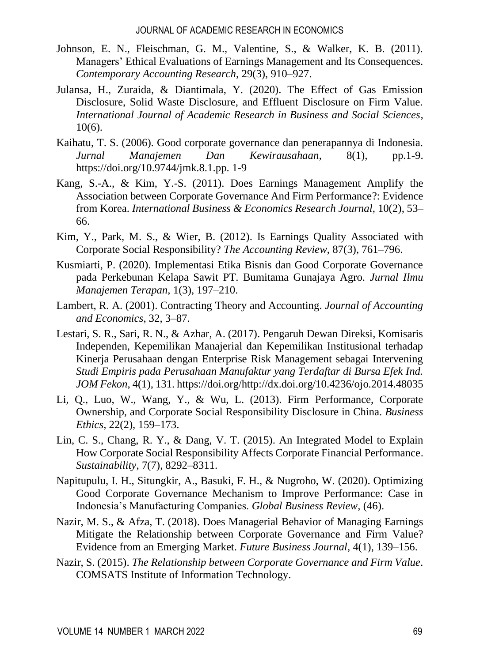- Johnson, E. N., Fleischman, G. M., Valentine, S., & Walker, K. B. (2011). Managers' Ethical Evaluations of Earnings Management and Its Consequences. *Contemporary Accounting Research*, 29(3), 910–927.
- Julansa, H., Zuraida, & Diantimala, Y. (2020). The Effect of Gas Emission Disclosure, Solid Waste Disclosure, and Effluent Disclosure on Firm Value. *International Journal of Academic Research in Business and Social Sciences*, 10(6).
- Kaihatu, T. S. (2006). Good corporate governance dan penerapannya di Indonesia. *Jurnal Manajemen Dan Kewirausahaan*, 8(1), pp.1-9. https://doi.org/10.9744/jmk.8.1.pp. 1-9
- Kang, S.-A., & Kim, Y.-S. (2011). Does Earnings Management Amplify the Association between Corporate Governance And Firm Performance?: Evidence from Korea. *International Business & Economics Research Journal*, 10(2), 53– 66.
- Kim, Y., Park, M. S., & Wier, B. (2012). Is Earnings Quality Associated with Corporate Social Responsibility? *The Accounting Review*, 87(3), 761–796.
- Kusmiarti, P. (2020). Implementasi Etika Bisnis dan Good Corporate Governance pada Perkebunan Kelapa Sawit PT. Bumitama Gunajaya Agro. *Jurnal Ilmu Manajemen Terapan*, 1(3), 197–210.
- Lambert, R. A. (2001). Contracting Theory and Accounting. *Journal of Accounting and Economics*, 32, 3–87.
- Lestari, S. R., Sari, R. N., & Azhar, A. (2017). Pengaruh Dewan Direksi, Komisaris Independen, Kepemilikan Manajerial dan Kepemilikan Institusional terhadap Kinerja Perusahaan dengan Enterprise Risk Management sebagai Intervening *Studi Empiris pada Perusahaan Manufaktur yang Terdaftar di Bursa Efek Ind. JOM Fekon*, 4(1), 131. https://doi.org/http://dx.doi.org/10.4236/ojo.2014.48035
- Li, Q., Luo, W., Wang, Y., & Wu, L. (2013). Firm Performance, Corporate Ownership, and Corporate Social Responsibility Disclosure in China. *Business Ethics*, 22(2), 159–173.
- Lin, C. S., Chang, R. Y., & Dang, V. T. (2015). An Integrated Model to Explain How Corporate Social Responsibility Affects Corporate Financial Performance. *Sustainability*, 7(7), 8292–8311.
- Napitupulu, I. H., Situngkir, A., Basuki, F. H., & Nugroho, W. (2020). Optimizing Good Corporate Governance Mechanism to Improve Performance: Case in Indonesia's Manufacturing Companies. *Global Business Review*, (46).
- Nazir, M. S., & Afza, T. (2018). Does Managerial Behavior of Managing Earnings Mitigate the Relationship between Corporate Governance and Firm Value? Evidence from an Emerging Market. *Future Business Journal*, 4(1), 139–156.
- Nazir, S. (2015). *The Relationship between Corporate Governance and Firm Value*. COMSATS Institute of Information Technology.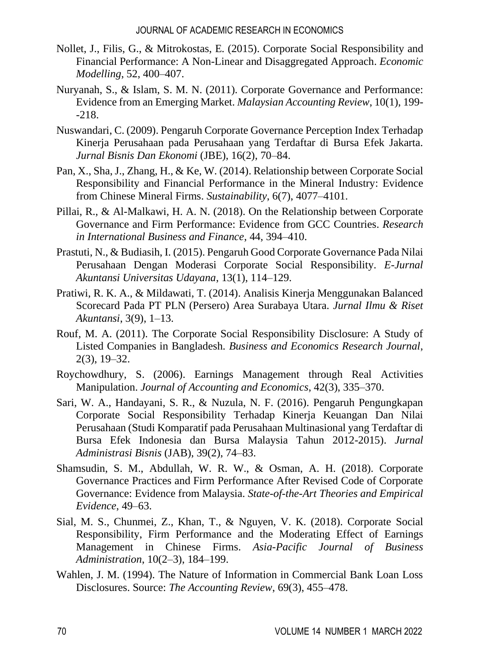- Nollet, J., Filis, G., & Mitrokostas, E. (2015). Corporate Social Responsibility and Financial Performance: A Non-Linear and Disaggregated Approach. *Economic Modelling*, 52, 400–407.
- Nuryanah, S., & Islam, S. M. N. (2011). Corporate Governance and Performance: Evidence from an Emerging Market. *Malaysian Accounting Review*, 10(1), 199- -218.
- Nuswandari, C. (2009). Pengaruh Corporate Governance Perception Index Terhadap Kinerja Perusahaan pada Perusahaan yang Terdaftar di Bursa Efek Jakarta. *Jurnal Bisnis Dan Ekonomi* (JBE), 16(2), 70–84.
- Pan, X., Sha, J., Zhang, H., & Ke, W. (2014). Relationship between Corporate Social Responsibility and Financial Performance in the Mineral Industry: Evidence from Chinese Mineral Firms. *Sustainability*, 6(7), 4077–4101.
- Pillai, R., & Al-Malkawi, H. A. N. (2018). On the Relationship between Corporate Governance and Firm Performance: Evidence from GCC Countries. *Research in International Business and Finance*, 44, 394–410.
- Prastuti, N., & Budiasih, I. (2015). Pengaruh Good Corporate Governance Pada Nilai Perusahaan Dengan Moderasi Corporate Social Responsibility. *E-Jurnal Akuntansi Universitas Udayana*, 13(1), 114–129.
- Pratiwi, R. K. A., & Mildawati, T. (2014). Analisis Kinerja Menggunakan Balanced Scorecard Pada PT PLN (Persero) Area Surabaya Utara. *Jurnal Ilmu & Riset Akuntansi*, 3(9), 1–13.
- Rouf, M. A. (2011). The Corporate Social Responsibility Disclosure: A Study of Listed Companies in Bangladesh. *Business and Economics Research Journal*, 2(3), 19–32.
- Roychowdhury, S. (2006). Earnings Management through Real Activities Manipulation. *Journal of Accounting and Economics*, 42(3), 335–370.
- Sari, W. A., Handayani, S. R., & Nuzula, N. F. (2016). Pengaruh Pengungkapan Corporate Social Responsibility Terhadap Kinerja Keuangan Dan Nilai Perusahaan (Studi Komparatif pada Perusahaan Multinasional yang Terdaftar di Bursa Efek Indonesia dan Bursa Malaysia Tahun 2012-2015). *Jurnal Administrasi Bisnis* (JAB), 39(2), 74–83.
- Shamsudin, S. M., Abdullah, W. R. W., & Osman, A. H. (2018). Corporate Governance Practices and Firm Performance After Revised Code of Corporate Governance: Evidence from Malaysia. *State-of-the-Art Theories and Empirical Evidence*, 49–63.
- Sial, M. S., Chunmei, Z., Khan, T., & Nguyen, V. K. (2018). Corporate Social Responsibility, Firm Performance and the Moderating Effect of Earnings Management in Chinese Firms. *Asia-Pacific Journal of Business Administration*, 10(2–3), 184–199.
- Wahlen, J. M. (1994). The Nature of Information in Commercial Bank Loan Loss Disclosures. Source: *The Accounting Review*, 69(3), 455–478.